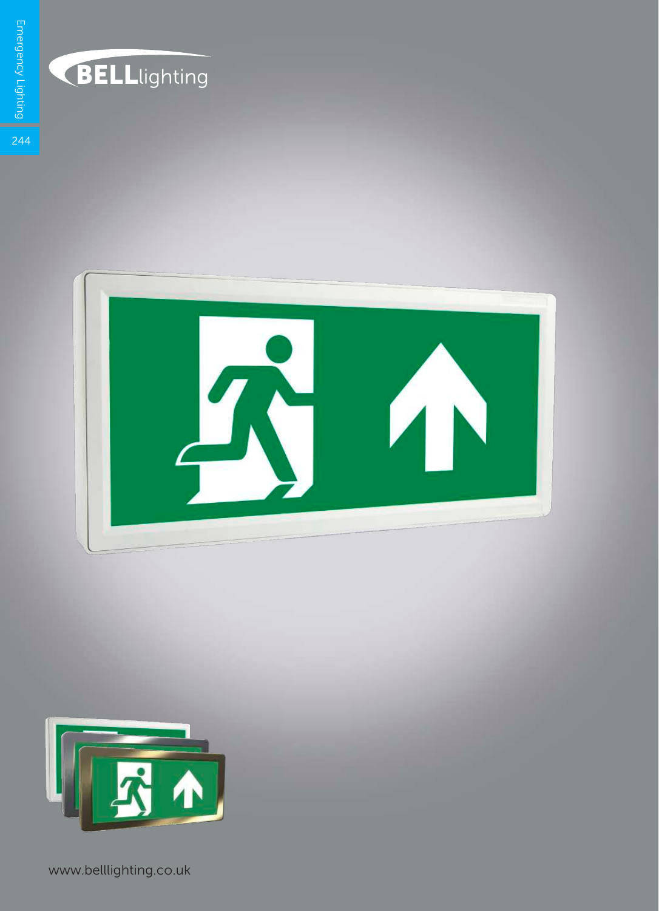

## BELLlighting





www.belllighting.co.uk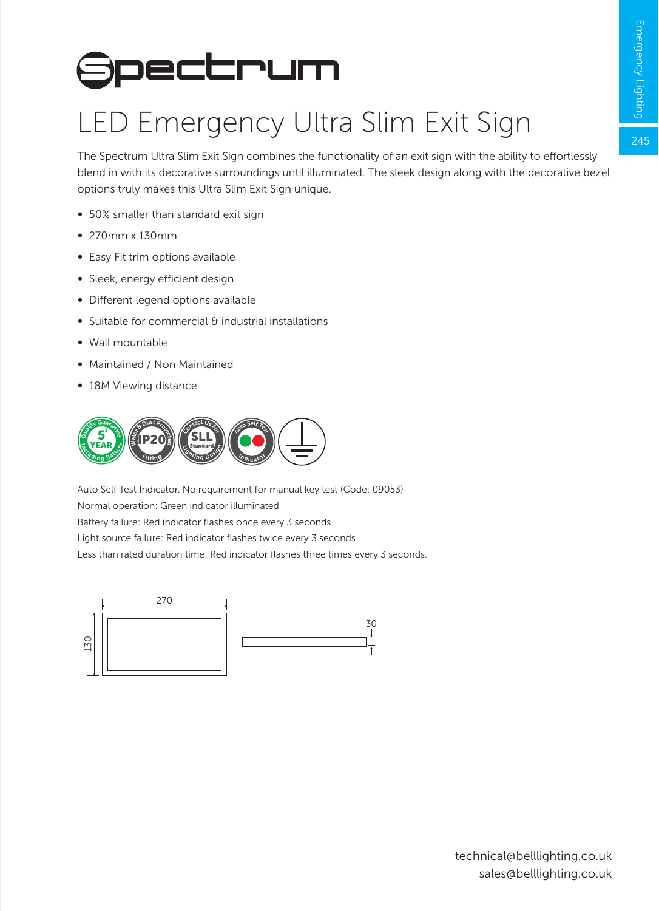$245$ 

## **Spectrum**

## LED Emergency Ultra Slim Exit Sign

The Spectrum Ultra Slim Exit Sign combines the functionality of an exit sign with the ability to effortlessly blend in with its decorative surroundings until illuminated. The sleek design along with the decorative bezel options truly makes this Ultra Slim Exit Sign unique.

- ∞ 50% smaller than standard exit sign
- ∞ 270mm x 130mm
- ∞ Easy Fit trim options available
- ∞ Sleek, energy efficient design
- ∞ Different legend options available
- ∞ Suitable for commercial & industrial installations
- ∞ Wall mountable
- ∞ Maintained / Non Maintained
- ∞ 18M Viewing distance



Light source failure: Red indicator flashes twice every 3 seconds Auto Self Test Indicator. No requirement for manual key test (Code: 09053) Normal operation: Green indicator illuminated Battery failure: Red indicator flashes once every 3 seconds Less than rated duration time: Red indicator flashes three times every 3 seconds.

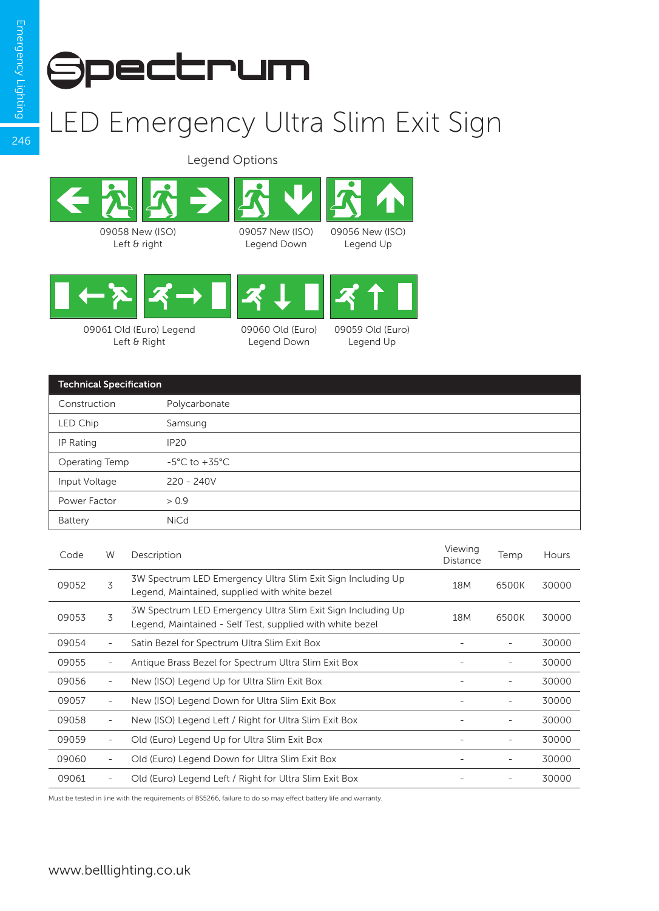246



## LED Emergency Ultra Slim Exit Sign

Legend Options





09061 Old (Euro) Legend Left & Right

09060 Old (Euro) Legend Down



| <b>Technical Specification</b> |                                   |  |  |  |
|--------------------------------|-----------------------------------|--|--|--|
| Construction                   | Polycarbonate                     |  |  |  |
| LED Chip                       | Samsung                           |  |  |  |
| IP Rating                      | <b>IP20</b>                       |  |  |  |
| Operating Temp                 | $-5^{\circ}$ C to $+35^{\circ}$ C |  |  |  |
| Input Voltage                  | $220 - 240V$                      |  |  |  |
| Power Factor                   | > 0.9                             |  |  |  |
| Battery                        | <b>NiCd</b>                       |  |  |  |

| Code  | W                        | Description                                                                                                              | Viewing<br>Distance | Temp                     | <b>Hours</b> |
|-------|--------------------------|--------------------------------------------------------------------------------------------------------------------------|---------------------|--------------------------|--------------|
| 09052 | 3                        | 3W Spectrum LED Emergency Ultra Slim Exit Sign Including Up<br>Legend, Maintained, supplied with white bezel             | 18 <sub>M</sub>     | 6500K                    | 30000        |
| 09053 | 3                        | 3W Spectrum LED Emergency Ultra Slim Exit Sign Including Up<br>Legend, Maintained - Self Test, supplied with white bezel | 18M                 | 6500K                    | 30000        |
| 09054 |                          | Satin Bezel for Spectrum Ultra Slim Exit Box                                                                             |                     |                          | 30000        |
| 09055 | $\overline{\phantom{a}}$ | Antique Brass Bezel for Spectrum Ultra Slim Exit Box                                                                     |                     |                          | 30000        |
| 09056 | $\overline{\phantom{a}}$ | New (ISO) Legend Up for Ultra Slim Exit Box                                                                              |                     | $\overline{\phantom{a}}$ | 30000        |
| 09057 | $\overline{\phantom{a}}$ | New (ISO) Legend Down for Ultra Slim Exit Box                                                                            |                     | $\overline{\phantom{a}}$ | 30000        |
| 09058 | $\overline{\phantom{a}}$ | New (ISO) Legend Left / Right for Ultra Slim Exit Box                                                                    |                     |                          | 30000        |
| 09059 | $\overline{\phantom{a}}$ | Old (Euro) Legend Up for Ultra Slim Exit Box                                                                             |                     |                          | 30000        |
| 09060 | $\overline{\phantom{a}}$ | Old (Euro) Legend Down for Ultra Slim Exit Box                                                                           |                     | $\overline{\phantom{a}}$ | 30000        |
| 09061 |                          | Old (Euro) Legend Left / Right for Ultra Slim Exit Box                                                                   |                     |                          | 30000        |

Must be tested in line with the requirements of BS5266, failure to do so may effect battery life and warranty.